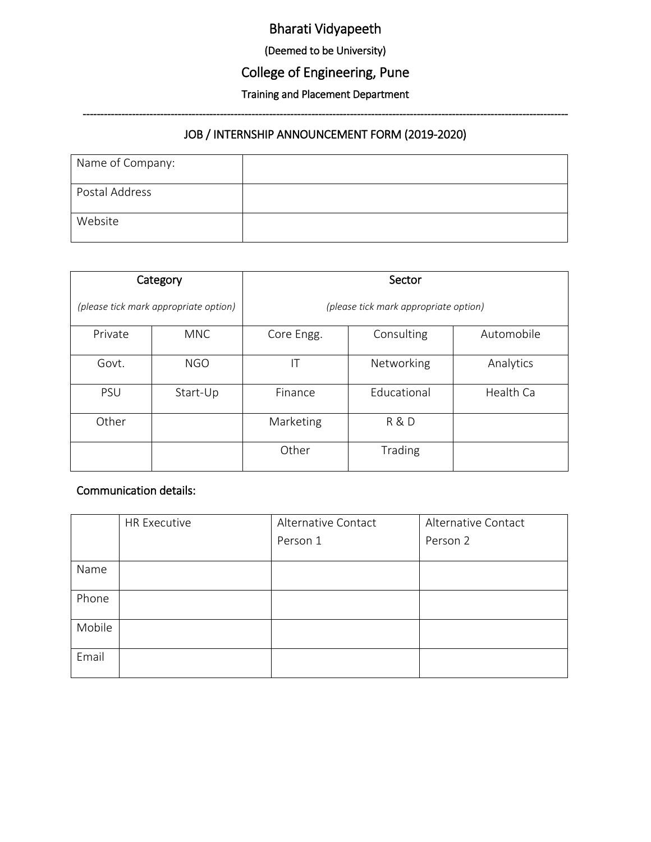# Bharati Vidyapeeth

(Deemed to be University)

# College of Engineering, Pune

## Training and Placement Department ------------------------------------------------------------------------------------------------------------------------------------------

#### JOB / INTERNSHIP ANNOUNCEMENT FORM (2019-2020)

| Name of Company: |  |
|------------------|--|
| Postal Address   |  |
| Website          |  |

| Category                              |            | Sector                                |             |           |  |
|---------------------------------------|------------|---------------------------------------|-------------|-----------|--|
| (please tick mark appropriate option) |            | (please tick mark appropriate option) |             |           |  |
| Private                               | <b>MNC</b> | Core Engg.                            | Consulting  |           |  |
| Govt.                                 | <b>NGO</b> | ΙT                                    | Networking  | Analytics |  |
| <b>PSU</b>                            | Start-Up   | Finance                               | Educational | Health Ca |  |
| Other                                 |            | Marketing                             | R & D       |           |  |
|                                       |            | Other                                 | Trading     |           |  |

#### Communication details:

|        | <b>HR Executive</b> | Alternative Contact | Alternative Contact |
|--------|---------------------|---------------------|---------------------|
|        |                     | Person 1            | Person 2            |
| Name   |                     |                     |                     |
|        |                     |                     |                     |
| Phone  |                     |                     |                     |
| Mobile |                     |                     |                     |
| Email  |                     |                     |                     |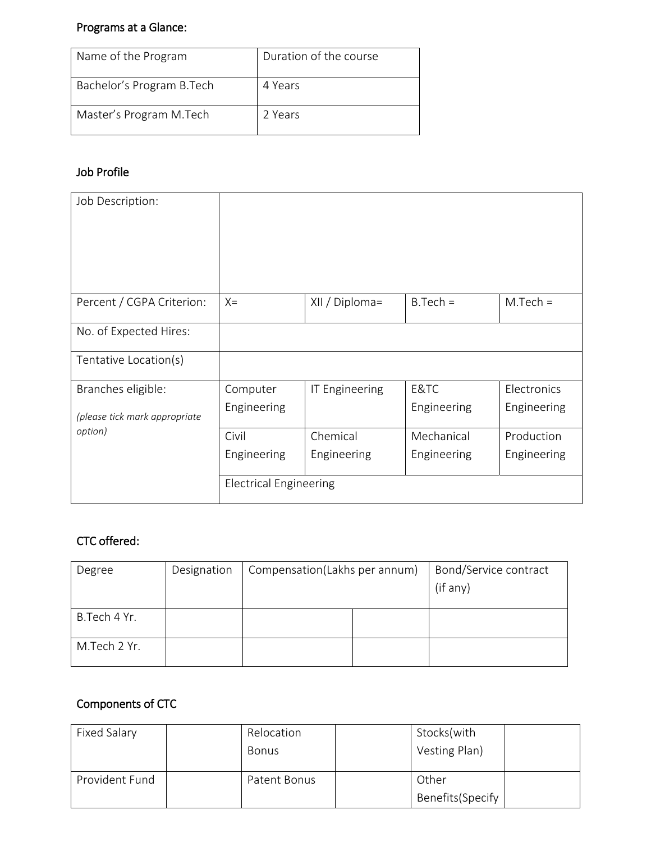## Programs at a Glance:

| Name of the Program       | Duration of the course |
|---------------------------|------------------------|
| Bachelor's Program B.Tech | 4 Years                |
| Master's Program M.Tech   | 2 Years                |

### Job Profile

| Job Description:              |                               |                |             |             |
|-------------------------------|-------------------------------|----------------|-------------|-------------|
| Percent / CGPA Criterion:     | $X =$                         | XII / Diploma= | $B.Tech =$  | $M.Tech =$  |
| No. of Expected Hires:        |                               |                |             |             |
| Tentative Location(s)         |                               |                |             |             |
| Branches eligible:            | Computer                      | IT Engineering | E&TC        | Electronics |
| (please tick mark appropriate | Engineering                   |                | Engineering | Engineering |
| option)                       | Civil                         | Chemical       | Mechanical  | Production  |
|                               | Engineering                   | Engineering    | Engineering | Engineering |
|                               | <b>Electrical Engineering</b> |                |             |             |

### CTC offered:

| Degree       | Designation | Compensation(Lakhs per annum) |  | Bond/Service contract<br>(if any) |
|--------------|-------------|-------------------------------|--|-----------------------------------|
| B.Tech 4 Yr. |             |                               |  |                                   |
| M.Tech 2 Yr. |             |                               |  |                                   |

## Components of CTC

| Fixed Salary   | Relocation   | Stocks(with       |  |
|----------------|--------------|-------------------|--|
|                | <b>Bonus</b> | Vesting Plan)     |  |
| Provident Fund | Patent Bonus | Other             |  |
|                |              | Benefits (Specify |  |